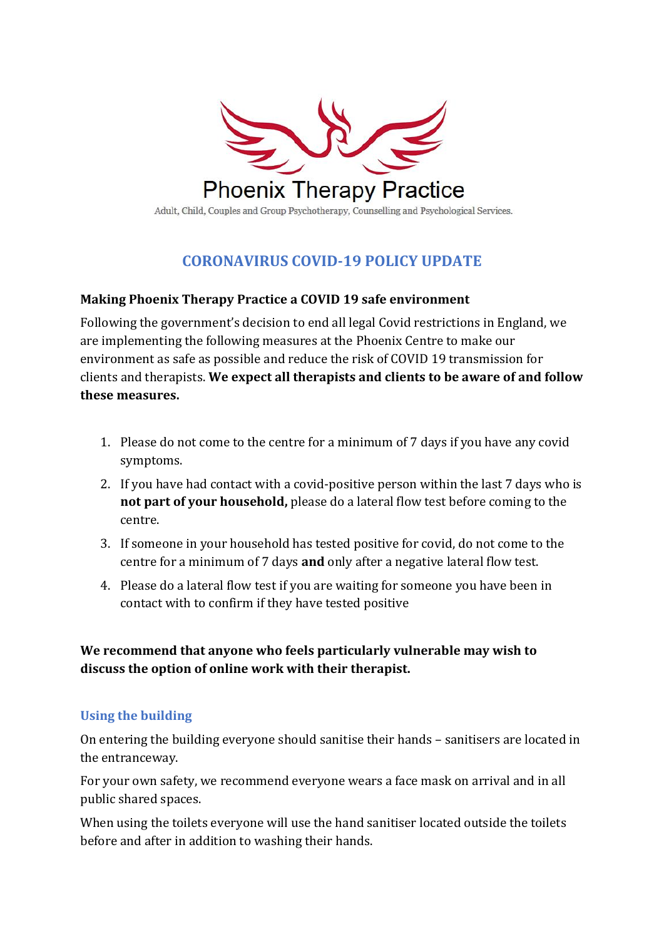

# **CORONAVIRUS COVID-19 POLICY UPDATE**

#### **Making Phoenix Therapy Practice a COVID 19 safe environment**

Following the government's decision to end all legal Covid restrictions in England, we are implementing the following measures at the Phoenix Centre to make our environment as safe as possible and reduce the risk of COVID 19 transmission for clients and therapists. **We expect all therapists and clients to be aware of and follow these measures.**

- 1. Please do not come to the centre for a minimum of 7 days if you have any covid symptoms.
- 2. If you have had contact with a covid-positive person within the last 7 days who is **not part of your household,** please do a lateral flow test before coming to the centre.
- 3. If someone in your household has tested positive for covid, do not come to the centre for a minimum of 7 days **and** only after a negative lateral flow test.
- 4. Please do a lateral flow test if you are waiting for someone you have been in contact with to confirm if they have tested positive

**We recommend that anyone who feels particularly vulnerable may wish to discuss the option of online work with their therapist.** 

## **Using the building**

On entering the building everyone should sanitise their hands – sanitisers are located in the entranceway.

For your own safety, we recommend everyone wears a face mask on arrival and in all public shared spaces.

When using the toilets everyone will use the hand sanitiser located outside the toilets before and after in addition to washing their hands.